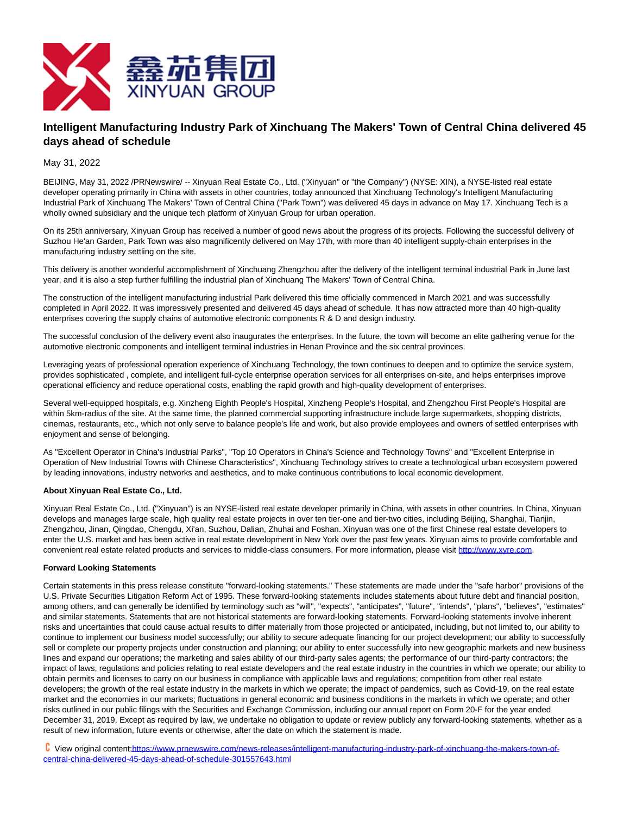

## **Intelligent Manufacturing Industry Park of Xinchuang The Makers' Town of Central China delivered 45 days ahead of schedule**

May 31, 2022

BEIJING, May 31, 2022 /PRNewswire/ -- Xinyuan Real Estate Co., Ltd. ("Xinyuan" or "the Company") (NYSE: XIN), a NYSE-listed real estate developer operating primarily in China with assets in other countries, today announced that Xinchuang Technology's Intelligent Manufacturing Industrial Park of Xinchuang The Makers' Town of Central China ("Park Town") was delivered 45 days in advance on May 17. Xinchuang Tech is a wholly owned subsidiary and the unique tech platform of Xinyuan Group for urban operation.

On its 25th anniversary, Xinyuan Group has received a number of good news about the progress of its projects. Following the successful delivery of Suzhou He'an Garden, Park Town was also magnificently delivered on May 17th, with more than 40 intelligent supply-chain enterprises in the manufacturing industry settling on the site.

This delivery is another wonderful accomplishment of Xinchuang Zhengzhou after the delivery of the intelligent terminal industrial Park in June last year, and it is also a step further fulfilling the industrial plan of Xinchuang The Makers' Town of Central China.

The construction of the intelligent manufacturing industrial Park delivered this time officially commenced in March 2021 and was successfully completed in April 2022. It was impressively presented and delivered 45 days ahead of schedule. It has now attracted more than 40 high-quality enterprises covering the supply chains of automotive electronic components R & D and design industry.

The successful conclusion of the delivery event also inaugurates the enterprises. In the future, the town will become an elite gathering venue for the automotive electronic components and intelligent terminal industries in Henan Province and the six central provinces.

Leveraging years of professional operation experience of Xinchuang Technology, the town continues to deepen and to optimize the service system, provides sophisticated , complete, and intelligent full-cycle enterprise operation services for all enterprises on-site, and helps enterprises improve operational efficiency and reduce operational costs, enabling the rapid growth and high-quality development of enterprises.

Several well-equipped hospitals, e.g. Xinzheng Eighth People's Hospital, Xinzheng People's Hospital, and Zhengzhou First People's Hospital are within 5km-radius of the site. At the same time, the planned commercial supporting infrastructure include large supermarkets, shopping districts, cinemas, restaurants, etc., which not only serve to balance people's life and work, but also provide employees and owners of settled enterprises with enjoyment and sense of belonging.

As "Excellent Operator in China's Industrial Parks", "Top 10 Operators in China's Science and Technology Towns" and "Excellent Enterprise in Operation of New Industrial Towns with Chinese Characteristics", Xinchuang Technology strives to create a technological urban ecosystem powered by leading innovations, industry networks and aesthetics, and to make continuous contributions to local economic development.

## **About Xinyuan Real Estate Co., Ltd.**

Xinyuan Real Estate Co., Ltd. ("Xinyuan") is an NYSE-listed real estate developer primarily in China, with assets in other countries. In China, Xinyuan develops and manages large scale, high quality real estate projects in over ten tier-one and tier-two cities, including Beijing, Shanghai, Tianjin, Zhengzhou, Jinan, Qingdao, Chengdu, Xi'an, Suzhou, Dalian, Zhuhai and Foshan. Xinyuan was one of the first Chinese real estate developers to enter the U.S. market and has been active in real estate development in New York over the past few years. Xinyuan aims to provide comfortable and convenient real estate related products and services to middle-class consumers. For more information, please visit [http://www.xyre.com.](http://www.xyre.com/)

## **Forward Looking Statements**

Certain statements in this press release constitute "forward-looking statements." These statements are made under the "safe harbor" provisions of the U.S. Private Securities Litigation Reform Act of 1995. These forward-looking statements includes statements about future debt and financial position, among others, and can generally be identified by terminology such as "will", "expects", "anticipates", "future", "intends", "plans", "believes", "estimates" and similar statements. Statements that are not historical statements are forward-looking statements. Forward-looking statements involve inherent risks and uncertainties that could cause actual results to differ materially from those projected or anticipated, including, but not limited to, our ability to continue to implement our business model successfully; our ability to secure adequate financing for our project development; our ability to successfully sell or complete our property projects under construction and planning; our ability to enter successfully into new geographic markets and new business lines and expand our operations; the marketing and sales ability of our third-party sales agents; the performance of our third-party contractors; the impact of laws, regulations and policies relating to real estate developers and the real estate industry in the countries in which we operate; our ability to obtain permits and licenses to carry on our business in compliance with applicable laws and regulations; competition from other real estate developers; the growth of the real estate industry in the markets in which we operate; the impact of pandemics, such as Covid-19, on the real estate market and the economies in our markets; fluctuations in general economic and business conditions in the markets in which we operate; and other risks outlined in our public filings with the Securities and Exchange Commission, including our annual report on Form 20-F for the year ended December 31, 2019. Except as required by law, we undertake no obligation to update or review publicly any forward-looking statements, whether as a result of new information, future events or otherwise, after the date on which the statement is made.

 View original conten[t:https://www.prnewswire.com/news-releases/intelligent-manufacturing-industry-park-of-xinchuang-the-makers-town-of](https://www.prnewswire.com/news-releases/intelligent-manufacturing-industry-park-of-xinchuang-the-makers-town-of-central-china-delivered-45-days-ahead-of-schedule-301557643.html)central-china-delivered-45-days-ahead-of-schedule-301557643.html